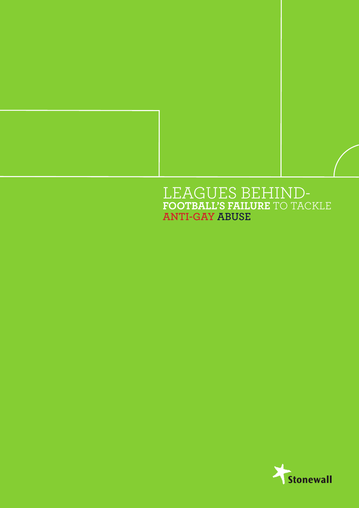## LEAGUES BEHIND-**FOOTBALL'S FAILURE** TO TACKLE **ANTI-GAY ABUSE**

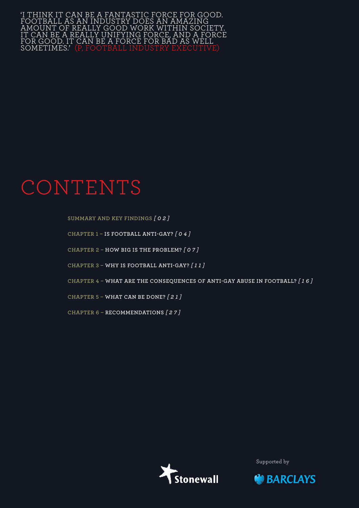'I think it can be a fantastic force for good. football as an industry does an amazing amount of really good work within society. It can be a really unifying force, and a force FOR GOOD. IT CAN BE A FORCE FOR BÁD AS WE sometimes.' (P, football industry executive)

## CONTENTS

**Summary and Key Findings** *[ 0 2 ]*

**Chapter 1 – Is football anti-gay?** *[ 0 4 ]*

**Chapter 2 – How big is the problem?** *[ 0 7 ]*

**Chapter 3 – Why is football anti-gay?** *[ 1 1 ]*

**Chapter 4 – What are the consequences of anti-gay abuse in football?** *[ 1 6 ]*

**Chapter 5 – What can be done?** *[ 2 1 ]*

**Chapter 6 – Recommendations** *[ 2 7 ]*



Supported by

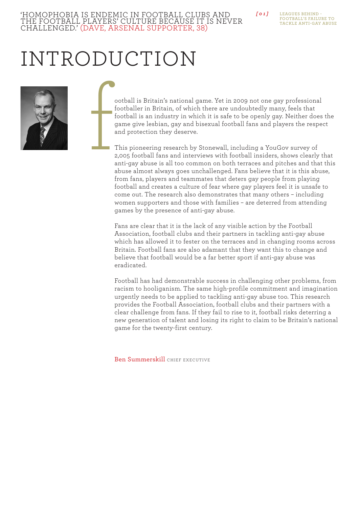## *[ 0 1 ]* 'Homophobia is endemic in football clubs and

LEAGUES BEHIND **Football's failure to tackle anti-gay abuse**

# Introduction

challenged.' (Dave, Arsenal supporter, 38)

the football players' culture because it is never



ootball is Britain's national game. Yet in 2009 not one gay professional footballer in Britain, of which there are undoubtedly many, feels that football is an industry in which it is safe to be openly gay. Neither does the game give lesbian, gay and bisexual football fans and players the respect and protection they deserve. f

This pioneering research by Stonewall, including a YouGov survey of 2,005 football fans and interviews with football insiders, shows clearly that anti-gay abuse is all too common on both terraces and pitches and that this abuse almost always goes unchallenged. Fans believe that it is this abuse, from fans, players and teammates that deters gay people from playing football and creates a culture of fear where gay players feel it is unsafe to come out. The research also demonstrates that many others – including women supporters and those with families – are deterred from attending games by the presence of anti-gay abuse.

Fans are clear that it is the lack of any visible action by the Football Association, football clubs and their partners in tackling anti-gay abuse which has allowed it to fester on the terraces and in changing rooms across Britain. Football fans are also adamant that they want this to change and believe that football would be a far better sport if anti-gay abuse was eradicated.

Football has had demonstrable success in challenging other problems, from racism to hooliganism. The same high-profile commitment and imagination urgently needs to be applied to tackling anti-gay abuse too. This research provides the Football Association, football clubs and their partners with a clear challenge from fans. If they fail to rise to it, football risks deterring a new generation of talent and losing its right to claim to be Britain's national game for the twenty-first century.

Ben Summerskill CHIEF EXECUTIVE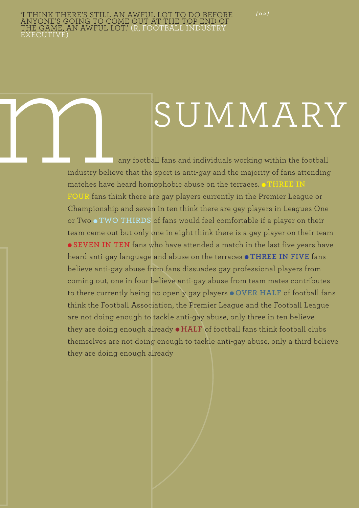*[ 0 2 ]*

# SUMMARY

eny football fans and individuals working within the football<br>industry believe that the sport is anti-gay and the majority of fans attending<br>matches have heard homophobic abuse on the terraces. THREE IN industry believe that the sport is anti-gay and the majority of fans attending matches have heard homophobic abuse on the terraces. **ITHREE IN FOUR** fans think there are gay players currently in the Premier League or Championship and seven in ten think there are gay players in Leagues One or Two  $\bullet$  TWO THIRDS of fans would feel comfortable if a player on their team came out but only one in eight think there is a gay player on their team **SEVEN IN TEN** fans who have attended a match in the last five years have heard anti-gay language and abuse on the terraces  $\bullet$  THREE **IN FIVE** fans believe anti-gay abuse from fans dissuades gay professional players from coming out, one in four believe anti-gay abuse from team mates contributes to there currently being no openly gay players  $\bullet$  OVER HALF of football fans think the Football Association, the Premier League and the Football League are not doing enough to tackle anti-gay abuse, only three in ten believe they are doing enough already  $\bullet$  **HALF** of football fans think football clubs themselves are not doing enough to tackle anti-gay abuse, only a third believe they are doing enough already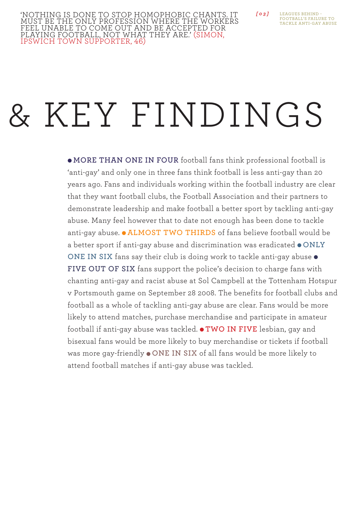```
Leagues Behind - 
         Football's failure to 
         tackle anti-gay abuse
[ 0 3 ]
```
# & KEY FINDINGS

 $\bullet$  **MORE THAN ONE IN FOUR** football fans think professional football is 'anti-gay' and only one in three fans think football is less anti-gay than 20 years ago. Fans and individuals working within the football industry are clear that they want football clubs, the Football Association and their partners to demonstrate leadership and make football a better sport by tackling anti-gay abuse. Many feel however that to date not enough has been done to tackle anti-gay abuse.  $\bullet$  ALMOST TWO THIRDS of fans believe football would be a better sport if anti-gay abuse and discrimination was eradicated  $\bullet$  **ONLY ONE IN SIX** fans say their club is doing work to tackle anti-gay abuse  $\bullet$ FIVE OUT OF SIX fans support the police's decision to charge fans with chanting anti-gay and racist abuse at Sol Campbell at the Tottenham Hotspur v Portsmouth game on September 28 2008. The benefits for football clubs and football as a whole of tackling anti-gay abuse are clear. Fans would be more likely to attend matches, purchase merchandise and participate in amateur football if anti-gay abuse was tackled.  $\bullet$  **TWO IN FIVE** lesbian, gay and bisexual fans would be more likely to buy merchandise or tickets if football was more gay-friendly  $\bullet$  **ONE IN SIX** of all fans would be more likely to attend football matches if anti-gay abuse was tackled.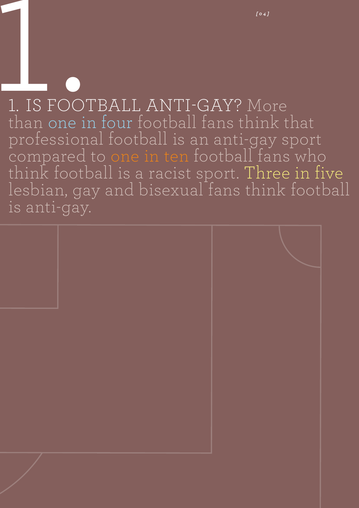# <sup>1041</sup><br>
1. IS FOOTBALL ANTI-GAY? More than one in four football fans think that professional football is an anti-gay sport compared to one in ten football fans who think football is a racist sport. Three in five lesbian, gay and bisexual fans think football is anti-gay.

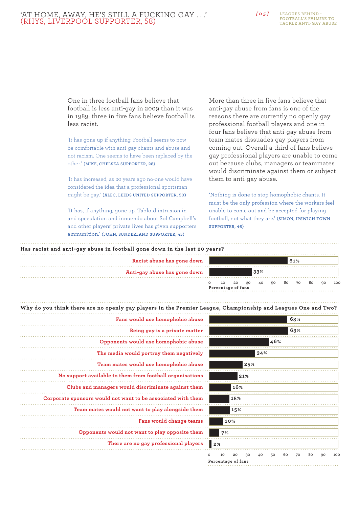## *[ 0 5 ]* 'At home, away, he's still a fucking gay . . .' (Rhys, Liverpool supporter, 58)

**Leagues Behind - Football's failure to tackle anti-gay abuse**

One in three football fans believe that football is less anti-gay in 2009 than it was in 1989; three in five fans believe football is less racist.

'It has gone up if anything. Football seems to now be comfortable with anti-gay chants and abuse and not racism. One seems to have been replaced by the other.' **(Mike, Chelsea supporter, 28)**

'It has increased, as 20 years ago no-one would have considered the idea that a professional sportsman might be gay.' **(Alec, Leeds United supporter, 50)**

'It has, if anything, gone up. Tabloid intrusion in and speculation and innuendo about Sol Campbell's and other players' private lives has given supporters ammunition.' **(John, Sunderland supporter, 45)**

More than three in five fans believe that anti-gay abuse from fans is one of the reasons there are currently no openly gay professional football players and one in four fans believe that anti-gay abuse from team mates dissuades gay players from coming out. Overall a third of fans believe gay professional players are unable to come out because clubs, managers or teammates would discriminate against them or subject them to anti-gay abuse.

'Nothing is done to stop homophobic chants. It must be the only profession where the workers feel unable to come out and be accepted for playing football, not what they are.' **(Simon, Ipswich Town supporter, 46)**

#### **Has racist and anti-gay abuse in football gone down in the last 20 years?**

| Racist abuse has gone down                                                                                    |                                      |  |     |    | 61%  |    |    |     |
|---------------------------------------------------------------------------------------------------------------|--------------------------------------|--|-----|----|------|----|----|-----|
| Anti-gay abuse has gone down                                                                                  |                                      |  | 33% |    |      |    |    |     |
|                                                                                                               | 10 20 30 40 50<br>Percentage of fans |  |     | 60 | 70   | 80 | 90 | 100 |
| Why do you think there are no openly gay players in the Premier League, Championship and Leagues One and Two? |                                      |  |     |    |      |    |    |     |
| Fans would use homophobic abuse                                                                               |                                      |  |     |    | 63%  |    |    |     |
| Data a secolo la contratta matteria                                                                           |                                      |  |     |    | 600/ |    |    |     |

| ģ       |                    |     |     |       |     |       | 63% |    |    |     |
|---------|--------------------|-----|-----|-------|-----|-------|-----|----|----|-----|
| ŕ       |                    |     |     |       |     |       | 63% |    |    |     |
| è       |                    |     |     |       | 46% |       |     |    |    |     |
| ī       |                    |     |     | 34%   |     |       |     |    |    |     |
| ė       |                    |     | 25% |       |     |       |     |    |    |     |
| š       |                    |     | 21% |       |     |       |     |    |    |     |
| í       |                    | 16% |     |       |     |       |     |    |    |     |
| ı       |                    | 15% |     |       |     |       |     |    |    |     |
| ì       |                    | 15% |     |       |     |       |     |    |    |     |
| š       |                    | 10% |     |       |     |       |     |    |    |     |
| Ĺ       | 7%                 |     |     |       |     |       |     |    |    |     |
| š       | 2%                 |     |     |       |     |       |     |    |    |     |
| $\circ$ | 10                 | 20  | 30  | 40 50 |     | 60 70 |     | 80 | 90 | 100 |
|         | Percentage of fans |     |     |       |     |       |     |    |    |     |

| Fans would use homophobic abuse                              |
|--------------------------------------------------------------|
| Being gay is a private matter                                |
| Opponents would use homophobic abuse                         |
| The media would portray them negatively                      |
| Team mates would use homophobic abuse                        |
| No support available to them from football organisations     |
| Clubs and managers would discriminate against them           |
| Corporate sponsors would not want to be associated with them |
| Team mates would not want to play alongside them             |
| Fans would change teams                                      |
| Opponents would not want to play opposite them               |
| There are no gay professional players                        |
|                                                              |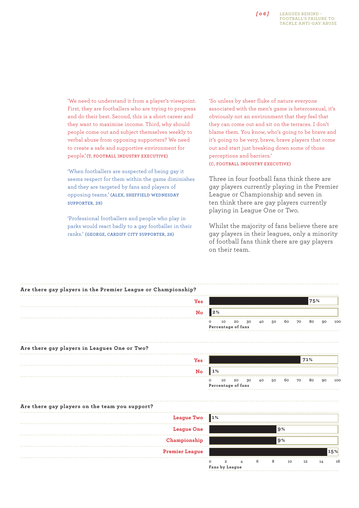

'We need to understand it from a player's viewpoint. First, they are footballers who are trying to progress and do their best. Second, this is a short career and they want to maximise income. Third, why should people come out and subject themselves weekly to verbal abuse from opposing supporters? We need to create a safe and supportive environment for people.' **(T, football industry executive)**

'When footballers are suspected of being gay it seems respect for them within the game diminishes and they are targeted by fans and players of opposing teams.' **(Alex, Sheffield Wednesday supporter, 29)**

'Professional footballers and people who play in parks would react badly to a gay footballer in their ranks.' **(George, Cardiff City supporter, 26)**

'So unless by sheer fluke of nature everyone associated with the men's game is heterosexual, it's obviously not an environment that they feel that they can come out and sit on the terraces. I don't blame them. You know, who's going to be brave and it's going to be very, brave, brave players that come out and start just breaking down some of those perceptions and barriers.' **(C, football industry executive)**

Three in four football fans think there are gay players currently playing in the Premier League or Championship and seven in ten think there are gay players currently playing in League One or Two.

Whilst the majority of fans believe there are gay players in their leagues, only a minority of football fans think there are gay players on their team.

| Are there gay players in the Premier League or Championship? |                                                                                             |
|--------------------------------------------------------------|---------------------------------------------------------------------------------------------|
| Yes                                                          | 75%                                                                                         |
| No                                                           | $\vert$ 2%                                                                                  |
|                                                              | 10<br>20<br>30<br>60<br>80<br>40<br>50<br>70<br>90<br>o<br><b>100</b><br>Percentage of fans |
| Are there gay players in Leagues One or Two?                 |                                                                                             |
| Yes                                                          | 71%                                                                                         |
| $\mathbf{N}\mathbf{o}$                                       | 1%                                                                                          |
|                                                              | 10<br>20<br>30<br>60<br>70<br>80<br>40<br>50<br>90<br>10C<br>$\circ$<br>Percentage of fans  |
| Are there gay players on the team you support?               |                                                                                             |
| <b>League Two</b>                                            | $\vert$ 1%                                                                                  |
| <b>League One</b>                                            | 9%                                                                                          |
| Championship                                                 | 9%                                                                                          |
| <b>Premier League</b>                                        | 15%                                                                                         |
|                                                              | 8<br>6<br>$\mathbf{2}$<br>10<br>12<br>16<br>14<br>4<br>Fans by League                       |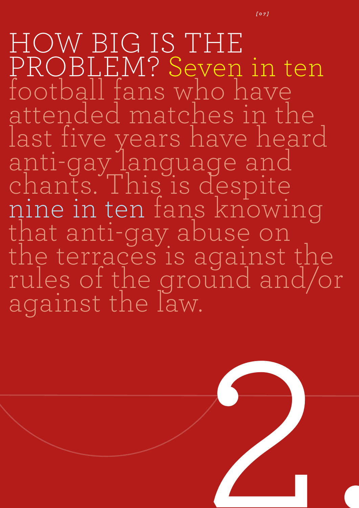HOW BIG IS THE PROBLEM? Seven in ten football fans who have attended matches in the last five years have heard anti-gay language and chants. This is despite<br>nine in ten fans knowing<br>that anti-gay abuse on the terraces is against the rules of the ground and/or against the law.

*[ 0 7 ]*

2.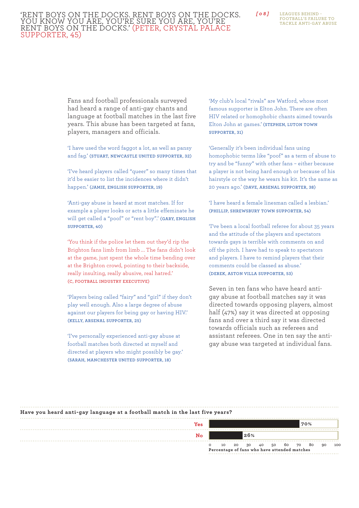## 'Rent boys on the docks. Rent boys on the docks. You know you are, you're sure you are, you're rent boys on the docks.' (Peter, Crystal Palace supporter, 45)

**Leagues Behind - Football's failure to tackle anti-gay abuse**

Fans and football professionals surveyed had heard a range of anti-gay chants and language at football matches in the last five years. This abuse has been targeted at fans, players, managers and officials.

'I have used the word faggot a lot, as well as pansy and fag.' **(Stuart, Newcastle United supporter, 32)**

'I've heard players called "queer" so many times that it'd be easier to list the incidences where it didn't happen.' **(Jamie, English supporter, 19)**

'Anti-gay abuse is heard at most matches. If for example a player looks or acts a little effeminate he will get called a "poof" or "rent boy".' **(Gary, English supporter, 40)**

'You think if the police let them out they'd rip the Brighton fans limb from limb ... The fans didn't look at the game, just spent the whole time bending over at the Brighton crowd, pointing to their backside, really insulting, really abusive, real hatred.' **(C, football industry executive)**

'Players being called "fairy" and "girl" if they don't play well enough. Also a large degree of abuse against our players for being gay or having HIV.' **(Kelly, Arsenal supporter, 25)**

'I've personally experienced anti-gay abuse at football matches both directed at myself and directed at players who might possibly be gay.' **(Sarah, Manchester United supporter, 18)**

'My club's local "rivals" are Watford, whose most famous supporter is Elton John. There are often HIV related or homophobic chants aimed towards Elton John at games.' **(Stephen, Luton Town supporter, 31)**

*[ 0 8 ]*

'Generally it's been individual fans using homophobic terms like "poof" as a term of abuse to try and be "funny" with other fans – either because a player is not being hard enough or because of his hairstyle or the way he wears his kit. It's the same as 20 years ago.' **(Dave, Arsenal supporter, 38)**

'I have heard a female linesman called a lesbian.' **(Phillip, Shrewsbury Town supporter, 54)**

'I've been a local football referee for about 35 years and the attitude of the players and spectators towards gays is terrible with comments on and off the pitch. I have had to speak to spectators and players. I have to remind players that their comments could be classed as abuse.' **(Derek, Aston Villa supporter, 53)**

Seven in ten fans who have heard antigay abuse at football matches say it was directed towards opposing players, almost half (47%) say it was directed at opposing fans and over a third say it was directed towards officials such as referees and assistant referees. One in ten say the antigay abuse was targeted at individual fans.

## **Have you heard anti-gay language at a football match in the last five years?**

| Yes |                                                                                                                                                                                                                                                                                                                         |    |     |    |    |    |    | 70% |    |                      |
|-----|-------------------------------------------------------------------------------------------------------------------------------------------------------------------------------------------------------------------------------------------------------------------------------------------------------------------------|----|-----|----|----|----|----|-----|----|----------------------|
| No  |                                                                                                                                                                                                                                                                                                                         |    | 26% |    |    |    |    |     |    |                      |
|     | 10<br>$\mathcal{L}$ and $\mathcal{L}$ and $\mathcal{L}$ and $\mathcal{L}$ and $\mathcal{L}$ and $\mathcal{L}$ and $\mathcal{L}$ and $\mathcal{L}$ and $\mathcal{L}$ and $\mathcal{L}$ and $\mathcal{L}$ and $\mathcal{L}$ and $\mathcal{L}$ and $\mathcal{L}$ and $\mathcal{L}$ and $\mathcal{L}$ and $\mathcal{L}$ and | 20 | 30  | 40 | 50 | 60 | 70 | 80  | 90 | .<br>10 <sup>c</sup> |

**Percentage of fans who have attended matches**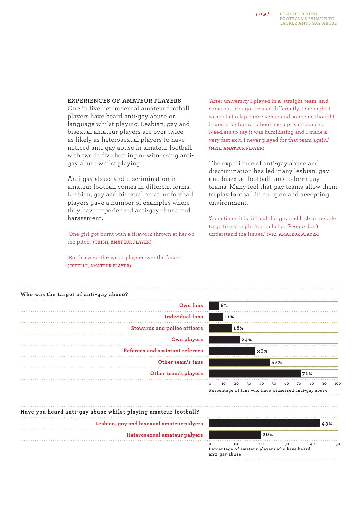

## **Experiences of amateur players**

One in five heterosexual amateur football players have heard anti-gay abuse or language whilst playing. Lesbian, gay and bisexual amateur players are over twice as likely as heterosexual players to have noticed anti-gay abuse in amateur football with two in five hearing or witnessing antigay abuse whilst playing.

Anti-gay abuse and discrimination in amateur football comes in different forms. Lesbian, gay and bisexual amateur football players gave a number of examples where they have experienced anti-gay abuse and harassment.

'One girl got burnt with a firework thrown at her on the pitch.' **(Trish, amateur player)**

'Bottles were thrown at players over the fence.' **(Estelle, amateur player)**

'After university I played in a 'straight team' and came out. You got treated differently. One night I was out at a lap dance venue and someone thought it would be funny to book me a private dancer. Needless to say it was humiliating and I made a very fast exit. I never played for that team again.' **(Neil, amateur player)**

The experience of anti-gay abuse and discrimination has led many lesbian, gay and bisexual football fans to form gay teams. Many feel that gay teams allow them to play football in an open and accepting environment.

'Sometimes it is difficult for gay and lesbian people to go to a straight football club. People don't understand the issues.' **(Vic, amateur player)**

| Own fans                        | 8%                                                                                                                           |
|---------------------------------|------------------------------------------------------------------------------------------------------------------------------|
| Individual fans                 | 11%                                                                                                                          |
| Stewards and police officers    | 18%                                                                                                                          |
| Own players                     | 24%                                                                                                                          |
| Referees and assistant referees | 36%                                                                                                                          |
| Other team's fans               | 47%                                                                                                                          |
| Other team's players            | 71%                                                                                                                          |
|                                 | 10<br>20<br>$\circ$<br>30<br>40<br>60<br>80<br>50<br>70<br>90<br>100<br>Percentage of fans who have witnessed anti-gay abuse |

|                                                                           |                |     | 43%                                          |
|---------------------------------------------------------------------------|----------------|-----|----------------------------------------------|
|                                                                           |                |     |                                              |
| 10                                                                        | 20             | 40  |                                              |
|                                                                           |                |     |                                              |
| Lesbian, gay and bisexual amateur palyers<br>Heterosexual amateur palyers | anti-gay abuse | 20% | Percentage of amateur players who have heard |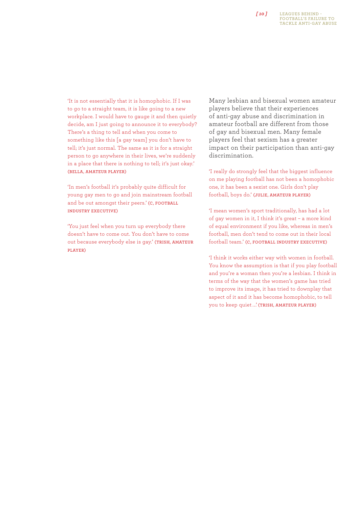## *[ 10 ]*

'It is not essentially that it is homophobic. If I was to go to a straight team, it is like going to a new workplace. I would have to gauge it and then quietly decide, am I just going to announce it to everybody? There's a thing to tell and when you come to something like this [a gay team] you don't have to tell; it's just normal. The same as it is for a straight person to go anywhere in their lives, we're suddenly in a place that there is nothing to tell; it's just okay.' **(Bella, amateur player)**

'In men's football it's probably quite difficult for young gay men to go and join mainstream football and be out amongst their peers.' (C, FOOTBALL **industry executive)** 

'You just feel when you turn up everybody there doesn't have to come out. You don't have to come out because everybody else is gay.' **(Trish, amateur player)**

Many lesbian and bisexual women amateur players believe that their experiences of anti-gay abuse and discrimination in amateur football are different from those of gay and bisexual men. Many female players feel that sexism has a greater impact on their participation than anti-gay discrimination.

'I really do strongly feel that the biggest influence on me playing football has not been a homophobic one, it has been a sexist one. Girls don't play football, boys do.' **(Julie, amateur player)**

'I mean women's sport traditionally, has had a lot of gay women in it, I think it's great – a more kind of equal environment if you like, whereas in men's football, men don't tend to come out in their local football team.' **(C, football industry executive)** 

'I think it works either way with women in football. You know the assumption is that if you play football and you're a woman then you're a lesbian. I think in terms of the way that the women's game has tried to improve its image, it has tried to downplay that aspect of it and it has become homophobic, to tell you to keep quiet ...' (TRISH, AMATEUR PLAYER)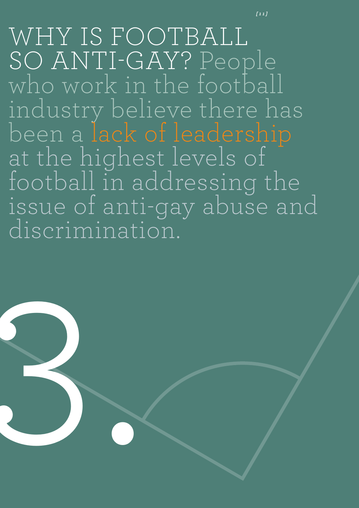WHY IS FOOTBALL SO ANTI-GAY? People<br>who work in the football industry believe there has been a lack of leadership at the highest levels of football in addressing the issue of anti-gay abuse and discrimination.

*[ 1 1 ]*

3.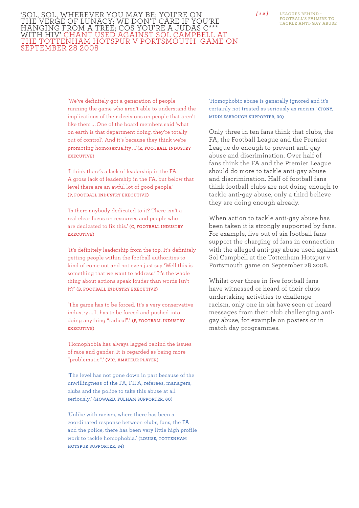**Leagues Behind - Football's failure to tackle anti-gay abuse**

*'SOL, SOL, WHEREVER YOU MAY BE; YOU'RE ON* [12] the verge of lunacy; We don't care if you're hanging from a tree; Cos you're a Judas c\*\*\* with HIV' Chant used against Sol Campbell at the Tottenham Hotspur v Portsmouth game on September 28 2008

> 'We've definitely got a generation of people running the game who aren't able to understand the implications of their decisions on people that aren't like them ... One of the board members said 'what on earth is that department doing, they're totally out of control'. And it's because they think we're promoting homosexuality ...'(R, FOOTBALL INDUSTRY **executive)**

> 'I think there's a lack of leadership in the FA. A gross lack of leadership in the FA, but below that level there are an awful lot of good people.' **(P, football industry executive)**

'Is there anybody dedicated to it? There isn't a real clear focus on resources and people who are dedicated to fix this.' **(C, football industry executive)**

'It's definitely leadership from the top. It's definitely getting people within the football authorities to kind of come out and not even just say 'Well this is something that we want to address.' It's the whole thing about actions speak louder than words isn't it?' **(B, football industry executive)**

'The game has to be forced. It's a very conservative industry ... It has to be forced and pushed into doing anything "radical".' **(P, football industry executive)**

'Homophobia has always lagged behind the issues of race and gender. It is regarded as being more "problematic".' **(Vic, amateur player)**

'The level has not gone down in part because of the unwillingness of the FA, FIFA, referees, managers, clubs and the police to take this abuse at all seriously.' **(Howard, Fulham supporter, 60)**

'Unlike with racism, where there has been a coordinated response between clubs, fans, the FA and the police, there has been very little high profile work to tackle homophobia.' (LOUISE, TOTTENHAM **Hotspur supporter, 34)**

'Homophobic abuse is generally ignored and it's certainly not treated as seriously as racism.' **(Tony, Middlesbrough supporter, 30)**

Only three in ten fans think that clubs, the FA, the Football League and the Premier League do enough to prevent anti-gay abuse and discrimination. Over half of fans think the FA and the Premier League should do more to tackle anti-gay abuse and discrimination. Half of football fans think football clubs are not doing enough to tackle anti-gay abuse, only a third believe they are doing enough already.

When action to tackle anti-gay abuse has been taken it is strongly supported by fans. For example, five out of six football fans support the charging of fans in connection with the alleged anti-gay abuse used against Sol Campbell at the Tottenham Hotspur v Portsmouth game on September 28 2008.

Whilst over three in five football fans have witnessed or heard of their clubs undertaking activities to challenge racism, only one in six have seen or heard messages from their club challenging antigay abuse, for example on posters or in match day programmes.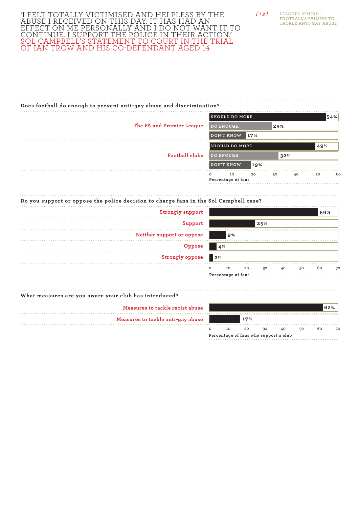## 'I FELT TOTALLY VICTIMISED AND HELPLESS BY T abuse I received on this day. It has had an EFFECT ON ME PERSONALLY AND I DO NOT WANT IT T continue. I support the police in their action.' SOL CAMPBELL'S STATEMENT TO COURT IN THE TRI of Ian Trow and his co-defendant aged 14

| $\sqrt{13}$ | LEAGUES BEHIND -             |
|-------------|------------------------------|
|             | <b>FOOTBALL'S FAILURE TO</b> |
|             | TACKLE ANTI-GAY ABUSE        |

## **Does football do enough to prevent anti-gay abuse and discrimination?**

|                           | <b>SHOULD DO MORE</b>               |     |     |    |     | 54% |
|---------------------------|-------------------------------------|-----|-----|----|-----|-----|
| The FA and Premier League | <b>DO ENOUGH</b>                    |     | 29% |    |     |     |
|                           | DON'T KNOW                          | 17% |     |    |     |     |
|                           | <b>SHOULD DO MORE</b>               |     |     |    | 49% |     |
| Football clubs            | <b>DO ENOUGH</b>                    |     | 32% |    |     |     |
|                           | DON'T KNOW                          | 19% |     |    |     |     |
|                           | $\circ$<br>10<br>Percentage of fans | 20  | 30  | 40 | 50  | 6c  |

## **Do you support or oppose the police decision to charge fans in the Sol Campbell case?**

| <b>Strongly support</b>   |            |                          |    |     |    |    | 59% |    |
|---------------------------|------------|--------------------------|----|-----|----|----|-----|----|
| Support                   |            |                          |    | 25% |    |    |     |    |
| Neither support or oppose |            | 9%                       |    |     |    |    |     |    |
| Oppose                    |            | 4%                       |    |     |    |    |     |    |
| <b>Strongly oppose</b>    | $\vert$ 2% |                          |    |     |    |    |     |    |
|                           | $\circ$    | 10<br>Percentage of fans | 20 | 30  | 40 | 50 | 60  | 70 |

#### **What measures are you aware your club has introduced?**

| Measures to tackle racist abuse   |  |     |    |    |    | 62% |    |
|-----------------------------------|--|-----|----|----|----|-----|----|
| Measures to tackle anti-gay abuse |  | 17% |    |    |    |     |    |
|                                   |  | 20  | 30 | 40 | 50 | 60  | 70 |

**Percentage of fans who support a club**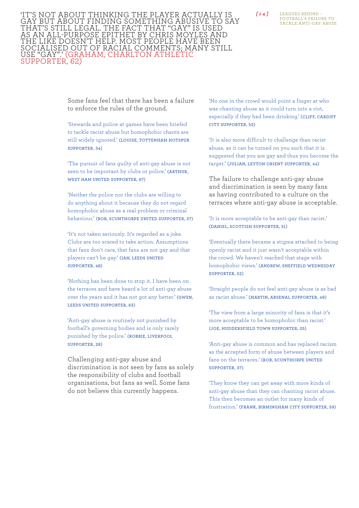*[ 1 4 ]* 'It's not about thinking the player actually is gay but about finding something abusive to say THAT'S STILL LEGAL. THE FACT THAT "GAY" IS U <u>AS AN ALL-PURPOSE EPITHET BY CHRIS MOYLES A</u> the like doesn't help. Most people have been socialised out of racial comments; many s USE "GAY".' (GRAHAM, CHARLTON AT supporter, 62)

**Leagues Behind - Football's failure to tackle anti-gay abuse**

Some fans feel that there has been a failure to enforce the rules of the ground.

'Stewards and police at games have been briefed to tackle racist abuse but homophobic chants are still widely ignored.' (LOUISE, TOTTENHAM HOTSPUR **supporter, 34)**

'The pursuit of fans guilty of anti-gay abuse is not seen to be important by clubs or police.' **(Arthur, West Ham United supporter, 67)**

'Neither the police nor the clubs are willing to do anything about it because they do not regard homophobic abuse as a real problem or criminal behaviour.' **(Rob, Scunthorpe United supporter, 37)**

'It's not taken seriously. It's regarded as a joke. Clubs are too scared to take action. Assumptions that fans don't care, that fans are not gay and that players can't be gay.' (IAN, LEEDS UNITED **supporter, 48)**

'Nothing has been done to stop it. I have been on the terraces and have heard a lot of anti-gay abuse over the years and it has not got any better.' **(Gwen, Leeds United supporter, 63)**

'Anti-gay abuse is routinely not punished by football's governing bodies and is only rarely punished by the police.' **(Robbie, Liverpool supporter, 28)**

Challenging anti-gay abuse and discrimination is not seen by fans as solely the responsibility of clubs and football organisations, but fans as well. Some fans do not believe this currently happens.

'No one in the crowd would point a finger at who was chanting abuse as it could turn into a riot, especially if they had been drinking.' (CLIFF, CARDIFF **City supporter, 52)**

'It is also more difficult to challenge than racist abuse, as it can be turned on you such that it is suggested that you are gay and thus you become the target.' **(Julian, Leyton Orient supporter, 44)**

The failure to challenge anti-gay abuse and discrimination is seen by many fans as having contributed to a culture on the terraces where anti-gay abuse is acceptable.

'It is more acceptable to be anti-gay than racist.' **(Daniel, Scottish supporter, 31)**

'Eventually there became a stigma attached to being openly racist and it just wasn't acceptable within the crowd. We haven't reached that stage with homophobic views.' **(Andrew, Sheffield Wednesday supporter, 52)**

'Straight people do not feel anti-gay abuse is as bad as racist abuse.' **(Martin, Arsenal supporter, 49)**

'The view from a large minority of fans is that it's more acceptable to be homophobic than racist.' **(Joe, Huddersfield Town supporter, 25)**

'Anti-gay abuse is common and has replaced racism as the accepted form of abuse between players and fans on the terraces.' (ROB, SCUNTHORPE UNITED **supporter, 37)**

'They know they can get away with more kinds of anti-gay abuse than they can chanting racist abuse. This then becomes an outlet for many kinds of frustration.' **(Frank, Birmingham City supporter, 59)**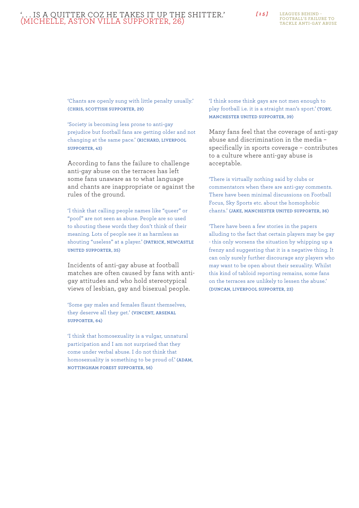## *[ 1 5 ]* '. . . is a quitter coz he takes it up the shitter.' (Michelle, Aston Villa supporter, 26)

**Leagues Behind - Football's failure to tackle anti-gay abuse**

'Chants are openly sung with little penalty usually.' **(Chris, Scottish supporter, 29)**

'Society is becoming less prone to anti-gay prejudice but football fans are getting older and not changing at the same pace.' **(Richard, Liverpool supporter, 43)**

According to fans the failure to challenge anti-gay abuse on the terraces has left some fans unaware as to what language and chants are inappropriate or against the rules of the ground.

'I think that calling people names like "queer" or "poof" are not seen as abuse. People are so used to shouting these words they don't think of their meaning. Lots of people see it as harmless as shouting "useless" at a player.' **(Patrick, Newcastle United supporter, 35)**

Incidents of anti-gay abuse at football matches are often caused by fans with antigay attitudes and who hold stereotypical views of lesbian, gay and bisexual people.

'Some gay males and females flaunt themselves, they deserve all they get.' **(Vincent, Arsenal supporter, 64)**

'I think that homosexuality is a vulgar, unnatural participation and I am not surprised that they come under verbal abuse. I do not think that homosexuality is something to be proud of.' (ADAM, **Nottingham Forest supporter, 56)**

'I think some think gays are not men enough to play football i.e. it is a straight man's sport.' **(Toby, Manchester United supporter, 39)**

Many fans feel that the coverage of anti-gay abuse and discrimination in the media – specifically in sports coverage – contributes to a culture where anti-gay abuse is acceptable.

'There is virtually nothing said by clubs or commentators when there are anti-gay comments. There have been minimal discussions on Football Focus, Sky Sports etc. about the homophobic chants.' **(Jake, Manchester United supporter, 36)**

'There have been a few stories in the papers alluding to the fact that certain players may be gay - this only worsens the situation by whipping up a frenzy and suggesting that it is a negative thing. It can only surely further discourage any players who may want to be open about their sexuality. Whilst this kind of tabloid reporting remains, some fans on the terraces are unlikely to lessen the abuse.' **(Duncan, Liverpool supporter, 23)**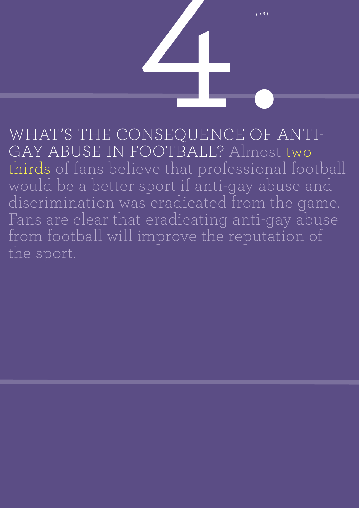<sup>161</sup><br>
NSEQUENCE OF WHAT'S THE CONSEQUENCE OF ANTIgay abuse in football? Almost two thirds of fans believe that professional football would be a better sport if anti-gay abuse and discrimination was eradicated from the game. Fans are clear that eradicating anti-gay abuse from football will improve the reputation of the sport.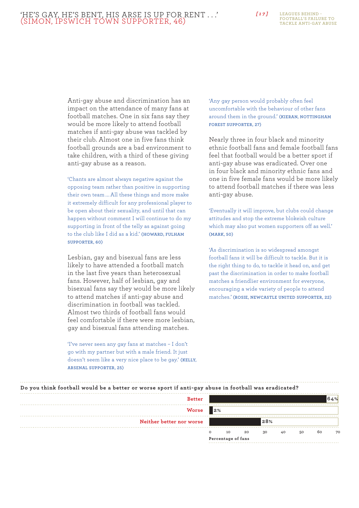Anti-gay abuse and discrimination has an impact on the attendance of many fans at football matches. One in six fans say they would be more likely to attend football matches if anti-gay abuse was tackled by their club. Almost one in five fans think football grounds are a bad environment to take children, with a third of these giving anti-gay abuse as a reason.

'Chants are almost always negative against the opposing team rather than positive in supporting their own team ... All these things and more make it extremely difficult for any professional player to be open about their sexuality, and until that can happen without comment I will continue to do my supporting in front of the telly as against going to the club like I did as a kid.' **(Howard, Fulham supporter, 60)**

Lesbian, gay and bisexual fans are less likely to have attended a football match in the last five years than heterosexual fans. However, half of lesbian, gay and bisexual fans say they would be more likely to attend matches if anti-gay abuse and discrimination in football was tackled. Almost two thirds of football fans would feel comfortable if there were more lesbian, gay and bisexual fans attending matches.

'I've never seen any gay fans at matches – I don't go with my partner but with a male friend. It just doesn't seem like a very nice place to be gay.' **(Kelly, Arsenal supporter, 25)**

'Any gay person would probably often feel uncomfortable with the behaviour of other fans around them in the ground.' (KIERAN, NOTTINGHAM **Forest supporter, 27)**

Nearly three in four black and minority ethnic football fans and female football fans feel that football would be a better sport if anti-gay abuse was eradicated. Over one in four black and minority ethnic fans and one in five female fans would be more likely to attend football matches if there was less anti-gay abuse.

'Eventually it will improve, but clubs could change attitudes and stop the extreme blokeish culture which may also put women supporters off as well.' **(Mark, 50)**

'As discrimination is so widespread amongst football fans it will be difficult to tackle. But it is the right thing to do, to tackle it head on, and get past the discrimination in order to make football matches a friendlier environment for everyone, encouraging a wide variety of people to attend matches.' **(Rosie, Newcastle United supporter, 22)**

| <b>Better</b>            |         |                    |    |     |    |    | 64% |
|--------------------------|---------|--------------------|----|-----|----|----|-----|
| <b>Worse</b>             | 2%      |                    |    |     |    |    |     |
| Neither better nor worse |         |                    |    | 28% |    |    |     |
|                          | $\circ$ | 10                 | 20 | 30  | 40 | 50 | 60  |
|                          |         | Percentage of fans |    |     |    |    |     |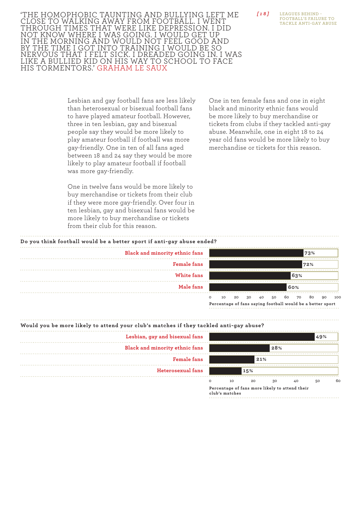'The homophobic taunting and bullying left me close to walking away from football. I went through times that were like depression. I did not know where I was going. I would get up in the morning and would not feel good and BY THE TIME I GOT INTO TRAINING I WOULD BE S NERVOUS THAT I FELT SICK. I DREADED GOING IN. I WA like a bullied kid on his way to school to face his tormentors.' Graham Le Saux

> Lesbian and gay football fans are less likely than heterosexual or bisexual football fans to have played amateur football. However, three in ten lesbian, gay and bisexual people say they would be more likely to play amateur football if football was more gay-friendly. One in ten of all fans aged between 18 and 24 say they would be more likely to play amateur football if football was more gay-friendly.

> One in twelve fans would be more likely to buy merchandise or tickets from their club if they were more gay-friendly. Over four in ten lesbian, gay and bisexual fans would be more likely to buy merchandise or tickets from their club for this reason.



| Do you think football would be a better sport if anti-gay abuse ended? |                     |    |
|------------------------------------------------------------------------|---------------------|----|
| Black and minority ethnic fans                                         |                     |    |
| <b>Female</b> fans                                                     |                     |    |
| White fans                                                             |                     |    |
| Male fans                                                              |                     |    |
|                                                                        | 10<br>Doroontogo of | 20 |



of fans saying football would be a better sport



**club's matches**

*[ 1 8 ]*

**Leagues Behind - Football's failure to tackle anti-gay abuse**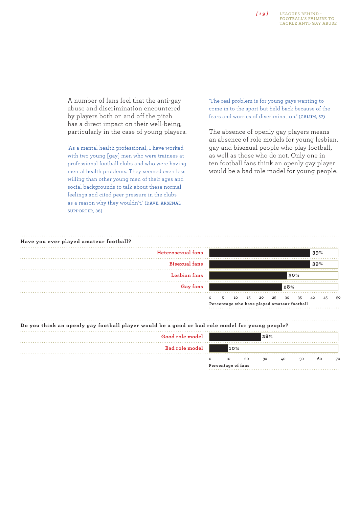## *[ 1 9 ]*

**Leagues Behind - Football's failure to tackle anti-gay abuse**

A number of fans feel that the anti-gay abuse and discrimination encountered by players both on and off the pitch has a direct impact on their well-being, particularly in the case of young players.

'As a mental health professional, I have worked with two young [gay] men who were trainees at professional football clubs and who were having mental health problems. They seemed even less willing than other young men of their ages and social backgrounds to talk about these normal feelings and cited peer pressure in the clubs as a reason why they wouldn't.' **(Dave, Arsenal Supporter, 38)**

'The real problem is for young gays wanting to come in to the sport but held back because of the fears and worries of discrimination.' **(Calum, 57)**

The absence of openly gay players means an absence of role models for young lesbian, gay and bisexual people who play football, as well as those who do not. Only one in ten football fans think an openly gay player would be a bad role model for young people.



| Do you think an openly gay football player would be a good or bad role model for young people? |     |    |     |    |    |    |    |
|------------------------------------------------------------------------------------------------|-----|----|-----|----|----|----|----|
| Good role model                                                                                |     |    | 28% |    |    |    |    |
| <b>Bad role model</b>                                                                          | 10% |    |     |    |    |    |    |
|                                                                                                | 10  | 20 | 30  | 40 | 50 | 60 | 70 |

**Percentage of fans**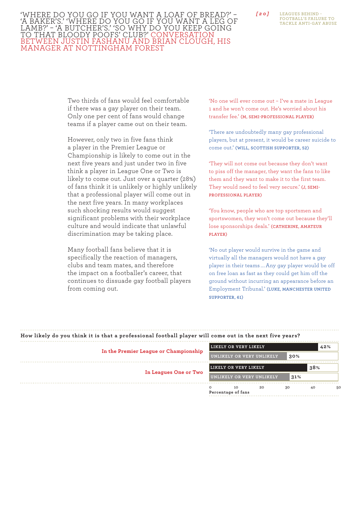**Leagues Behind - Football's failure to tackle anti-gay abuse**

### *[ 2 0 ]* 'Where do you go if you want a loaf of bread?' – 'A baker's.' 'Where do you go if you want a leg of LAMB?' - 'A BUTCHER'S.' 'SO WHY DO YOU KEEP G TO THAT BLOODY POOFS' CLUB?' CONVERS between Justin Fashanu and Brian Clough, his manager at Nottingham Forest

Two thirds of fans would feel comfortable if there was a gay player on their team. Only one per cent of fans would change teams if a player came out on their team.

However, only two in five fans think a player in the Premier League or Championship is likely to come out in the next five years and just under two in five think a player in League One or Two is likely to come out. Just over a quarter (28%) of fans think it is unlikely or highly unlikely that a professional player will come out in the next five years. In many workplaces such shocking results would suggest significant problems with their workplace culture and would indicate that unlawful discrimination may be taking place.

Many football fans believe that it is specifically the reaction of managers, clubs and team mates, and therefore the impact on a footballer's career, that continues to dissuade gay football players from coming out.

'No one will ever come out – I've a mate in League 1 and he won't come out. He's worried about his transfer fee.' **(M, semi-professional player)**

'There are undoubtedly many gay professional players, but at present, it would be career suicide to come out.' **(Will, Scottish supporter, 52)**

'They will not come out because they don't want to piss off the manager, they want the fans to like them and they want to make it to the first team. They would need to feel very secure.' **(J, semiprofessional player)**

'You know, people who are top sportsmen and sportswomen, they won't come out because they'll lose sponsorships deals.' **(Catherine, amateur player)**

'No out player would survive in the game and virtually all the managers would not have a gay player in their teams ... Any gay player would be off on free loan as fast as they could get him off the ground without incurring an appearance before an Employment Tribunal.' **(Luke, Manchester United supporter, 61)**

| How likely do you think it is that a professional football player will come out in the next five years? |                                                  |          |
|---------------------------------------------------------------------------------------------------------|--------------------------------------------------|----------|
|                                                                                                         | LIKELY OR VERY LIKELY                            | 42%      |
| In the Premier League or Championship                                                                   | UNLIKELY OR VERY UNLIKELY<br>30%                 |          |
|                                                                                                         | LIKELY OR VERY LIKELY                            | 38%      |
| In Leagues One or Two                                                                                   | UNLIKELY OR VERY UNLIKELY<br>31%                 |          |
|                                                                                                         | 20<br>30<br>$\Omega$<br>10<br>Percentage of fans | 40<br>5C |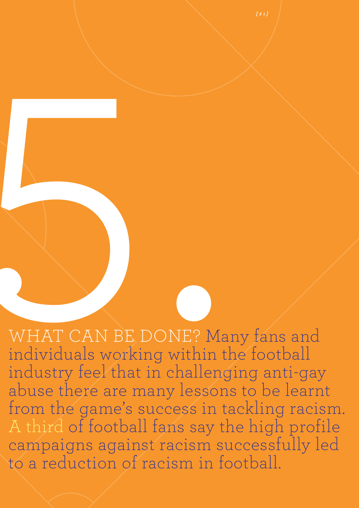WHAT CAN BE DONE? Many fans and individuals working within the football industry feel that in challenging anti-gay abuse there are many lessons to be learnt from the game's success in tackling racism. A third of football fans say the high profile campaigns against racism successfully led to a reduction of racism in football. WHAT CAN BE DONE? Maindividuals working within

*[ 2 1 ]*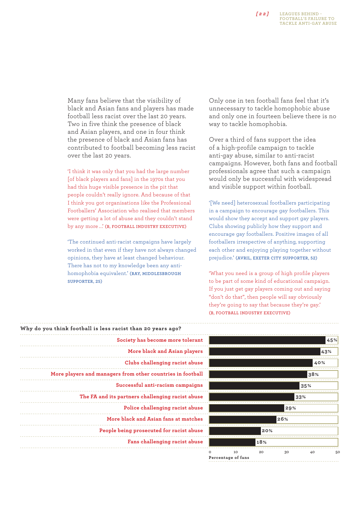## *[ 2 2 ]*

Many fans believe that the visibility of black and Asian fans and players has made football less racist over the last 20 years. Two in five think the presence of black and Asian players, and one in four think the presence of black and Asian fans has contributed to football becoming less racist over the last 20 years.

'I think it was only that you had the large number [of black players and fans] in the 1970s that you had this huge visible presence in the pit that people couldn't really ignore. And because of that I think you got organisations like the Professional Footballers' Association who realised that members were getting a lot of abuse and they couldn't stand by any more ...' (B, FOOTBALL INDUSTRY EXECUTIVE)

'The continued anti-racist campaigns have largely worked in that even if they have not always changed opinions, they have at least changed behaviour. There has not to my knowledge been any antihomophobia equivalent.' **(Ray, Middlesbrough supporter, 25)**

Only one in ten football fans feel that it's unnecessary to tackle homophobic abuse and only one in fourteen believe there is no way to tackle homophobia.

Over a third of fans support the idea of a high-profile campaign to tackle anti-gay abuse, similar to anti-racist campaigns. However, both fans and football professionals agree that such a campaign would only be successful with widespread and visible support within football.

'[We need] heterosexual footballers participating in a campaign to encourage gay footballers. This would show they accept and support gay players. Clubs showing publicly how they support and encourage gay footballers. Positive images of all footballers irrespective of anything, supporting each other and enjoying playing together without prejudice.' **(Avril, Exeter City supporter, 52)**

'What you need is a group of high profile players to be part of some kind of educational campaign. If you just get gay players coming out and saying "don't do that", then people will say obviously they're going to say that because they're gay.' **(B, football industry executive)**

| Why do you think football is less racist than 20 years ago? |
|-------------------------------------------------------------|
| Society has become more tolerant                            |
| More black and Asian players                                |
| Clubs challenging racist abuse                              |
| More players and managers from other countries in football  |
| Successful anti-racism campaigns                            |
| The FA and its partners challenging racist abuse            |
| Police challenging racist abuse                             |
| More black and Asian fans at matches                        |
| People being prosecuted for racist abuse                    |
| Fans challenging racist abuse                               |
|                                                             |

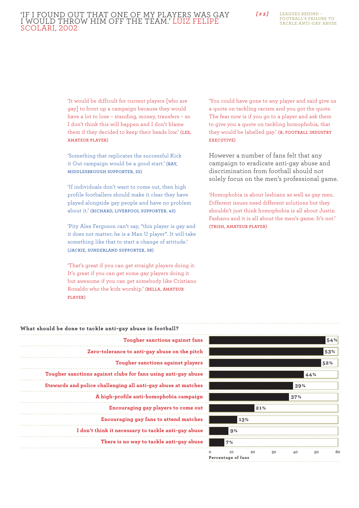## *[ 2 3 ]* 'If I found out that one of my players was gay I would throw him off the team.' Luiz Felipe Scolari, 2002

**Leagues Behind - Football's failure to tackle anti-gay abuse**

'It would be difficult for current players [who are gay] to front up a campaign because they would have a lot to lose – standing, money, transfers – so I don't think this will happen and I don't blame them if they decided to keep their heads low.' **(Lee, amateur player)**

'Something that replicates the successful Kick it Out campaign would be a good start.' **(Ray, Middlesbrough supporter, 25)**

'If individuals don't want to come out, then high profile footballers should make it clear they have played alongside gay people and have no problem about it.' **(Richard, Liverpool supporter, 43)**

'Pity Alex Ferguson can't say, "this player is gay and it does not matter; he is a Man U player". It will take something like that to start a change of attitude.' **(Jackie, Sunderland supporter, 58)**

'That's great if you can get straight players doing it. It's great if you can get some gay players doing it but awesome if you can get somebody like Cristiano Ronaldo who the kids worship.' **(Bella, amateur player)**

'You could have gone to any player and said give us a quote on tackling racism and you got the quote. The fear now is if you go to a player and ask them to give you a quote on tackling homophobia, that they would be labelled gay.' **(R, football industry executive)**

However a number of fans felt that any campaign to eradicate anti-gay abuse and discrimination from football should not solely focus on the men's professional game.

'Homophobia is about lesbians as well as gay men. Different issues need different solutions but they shouldn't just think homophobia is all about Justin Fashanu and it is all about the men's game. It's not.' **(Trish, amateur player)**

| What should be done to tackle anti-gay abuse in football?     |
|---------------------------------------------------------------|
| Tougher sanctions against fans                                |
| Zero-tolerance to anti-gay abuse on the pitch                 |
| Tougher sanctions against players                             |
| Tougher sanctions against clubs for fans using anti-gay abuse |
| Stewards and police challenging all anti-gay abuse at matches |
| A high-profile anti-homophobia campaign                       |
| Encouraging gay players to come out                           |
| Encouraging gay fans to attend matches                        |
| I don't think it necessary to tackle anti-gay abuse           |
| There is no way to tackle anti-gay abuse                      |
|                                                               |

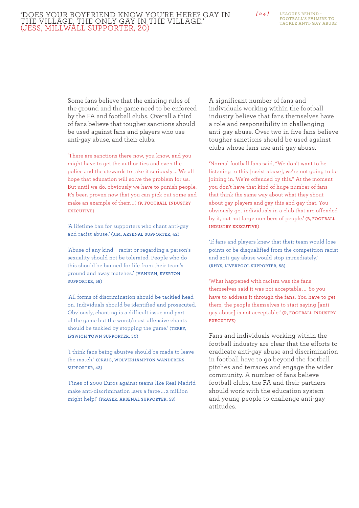### *[ 2 4 ]* 'Does your boyfriend know you're here? Gay in the village, the only gay in the village.' (Jess, Millwall supporter, 20)

**Leagues Behind - Football's failure to tackle anti-gay abuse**

Some fans believe that the existing rules of the ground and the game need to be enforced by the FA and football clubs. Overall a third of fans believe that tougher sanctions should be used against fans and players who use anti-gay abuse, and their clubs.

'There are sanctions there now, you know, and you might have to get the authorities and even the police and the stewards to take it seriously ... We all hope that education will solve the problem for us. But until we do, obviously we have to punish people. It's been proven now that you can pick out some and make an example of them ...' (P, FOOTBALL INDUSTRY **executive)**

'A lifetime ban for supporters who chant anti-gay and racist abuse.' **(Jim, Arsenal supporter, 42)**

'Abuse of any kind – racist or regarding a person's sexuality should not be tolerated. People who do this should be banned for life from their team's ground and away matches.' **(Hannah, Everton supporter, 58)**

'All forms of discrimination should be tackled head on. Individuals should be identified and prosecuted. Obviously, chanting is a difficult issue and part of the game but the worst/most offensive chants should be tackled by stopping the game.' **(Terry, Ipswich Town supporter, 50)**

'I think fans being abusive should be made to leave the match.' **(Craig, Wolverhampton Wanderers supporter, 43)**

'Fines of 2000 Euros against teams like Real Madrid make anti-discrimination laws a farce ... 2 million might help!' **(Fraser, Arsenal supporter, 53)**

A significant number of fans and individuals working within the football industry believe that fans themselves have a role and responsibility in challenging anti-gay abuse. Over two in five fans believe tougher sanctions should be used against clubs whose fans use anti-gay abuse.

'Normal football fans said, "We don't want to be listening to this [racist abuse], we're not going to be joining in. We're offended by this." At the moment you don't have that kind of huge number of fans that think the same way about what they shout about gay players and gay this and gay that. You obviously get individuals in a club that are offended by it, but not large numbers of people.' (B, FOOTBALL **industry executive)**

'If fans and players knew that their team would lose points or be disqualified from the competition racist and anti-gay abuse would stop immediately.' **(Rhys, Liverpool supporter, 58)**

'What happened with racism was the fans themselves said it was not acceptable ... So you have to address it through the fans. You have to get them, the people themselves to start saying [antigay abuse] is not acceptable.' **(R, football industry executive)**

Fans and individuals working within the football industry are clear that the efforts to eradicate anti-gay abuse and discrimination in football have to go beyond the football pitches and terraces and engage the wider community. A number of fans believe football clubs, the FA and their partners should work with the education system and young people to challenge anti-gay attitudes.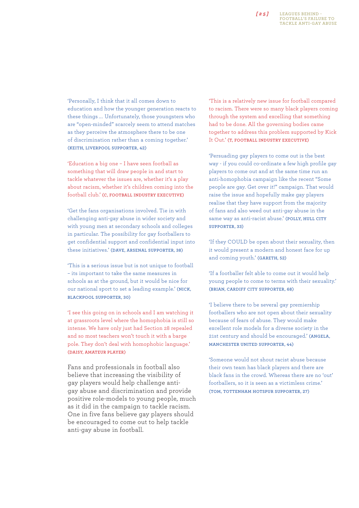## *[ 2 5 ]*

**Leagues Behind - Football's failure to tackle anti-gay abuse**

'Personally, I think that it all comes down to education and how the younger generation reacts to these things ... Unfortunately, those youngsters who are "open-minded" scarcely seem to attend matches as they perceive the atmosphere there to be one of discrimination rather than a coming together.' **(Keith, Liverpool supporter, 42)**

'Education a big one – I have seen football as something that will draw people in and start to tackle whatever the issues are, whether it's a play about racism, whether it's children coming into the football club.' **(C, football industry executive)**

'Get the fans organisations involved. Tie in with challenging anti-gay abuse in wider society and with young men at secondary schools and colleges in particular. The possibility for gay footballers to get confidential support and confidential input into these initiatives.' **(Dave, Arsenal Supporter, 38)**

'This is a serious issue but is not unique to football – its important to take the same measures in schools as at the ground, but it would be nice for our national sport to set a leading example.' **(Nick, Blackpool supporter, 30)**

'I see this going on in schools and I am watching it at grassroots level where the homophobia is still so intense. We have only just had Section 28 repealed and so most teachers won't touch it with a barge pole. They don't deal with homophobic language.' **(Daisy, amateur player)**

Fans and professionals in football also believe that increasing the visibility of gay players would help challenge antigay abuse and discrimination and provide positive role-models to young people, much as it did in the campaign to tackle racism. One in five fans believe gay players should be encouraged to come out to help tackle anti-gay abuse in football.

'This is a relatively new issue for football compared to racism. There were so many black players coming through the system and excelling that something had to be done. All the governing bodies came together to address this problem supported by Kick It Out.' **(T, football industry executive)**

'Persuading gay players to come out is the best way - if you could co-ordinate a few high profile gay players to come out and at the same time run an anti-homophobia campaign like the recent "Some people are gay. Get over it!" campaign. That would raise the issue and hopefully make gay players realise that they have support from the majority of fans and also weed out anti-gay abuse in the same way as anti-racist abuse.' **(Polly, Hull City supporter, 33)**

'If they COULD be open about their sexuality, then it would present a modern and honest face for up and coming youth.' **(Gareth, 52)**

'If a footballer felt able to come out it would help young people to come to terms with their sexuality.' **(Brian, Cardiff City supporter, 68)**

'I believe there to be several gay premiership footballers who are not open about their sexuality because of fears of abuse. They would make excellent role models for a diverse society in the 21st century and should be encouraged.' **(Angela, Manchester United supporter, 44)**

'Someone would not shout racist abuse because their own team has black players and there are black fans in the crowd. Whereas there are no 'out' footballers, so it is seen as a victimless crime.' **(Tom, Tottenham Hotspur supporter, 27)**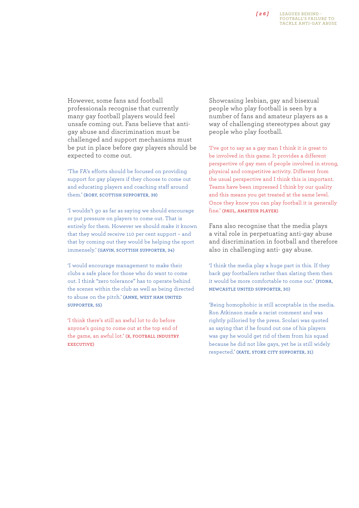#### **Leagues Behind - Football's failure to tackle anti-gay abuse** *[ 2 6 ]*

However, some fans and football professionals recognise that currently many gay football players would feel unsafe coming out. Fans believe that antigay abuse and discrimination must be challenged and support mechanisms must be put in place before gay players should be expected to come out.

'The FA's efforts should be focused on providing support for gay players if they choose to come out and educating players and coaching staff around them.' **(Rory, Scottish supporter, 39)**

'I wouldn't go as far as saying we should encourage or put pressure on players to come out. That is entirely for them. However we should make it known that they would receive 110 per cent support – and that by coming out they would be helping the sport immensely.' **(Gavin, Scottish supporter, 34)**

'I would encourage management to make their clubs a safe place for those who do want to come out. I think "zero tolerance" has to operate behind the scenes within the club as well as being directed to abuse on the pitch.' **(Anne, West Ham United supporter, 55)**

'I think there's still an awful lot to do before anyone's going to come out at the top end of the game, an awful lot.' **(R, football industry executive)**

Showcasing lesbian, gay and bisexual people who play football is seen by a number of fans and amateur players as a way of challenging stereotypes about gay people who play football.

'I've got to say as a gay man I think it is great to be involved in this game. It provides a different perspective of gay men of people involved in strong, physical and competitive activity. Different from the usual perspective and I think this is important. Teams have been impressed I think by our quality and this means you get treated at the same level. Once they know you can play football it is generally fine.' **(Paul, amateur player)**

Fans also recognise that the media plays a vital role in perpetuating anti-gay abuse and discrimination in football and therefore also in challenging anti- gay abuse.

'I think the media play a huge part in this. If they back gay footballers rather than slating them then it would be more comfortable to come out.' **(Fiona, Newcastle United supporter, 30)**

'Being homophobic is still acceptable in the media. Ron Atkinson made a racist comment and was rightly pilloried by the press. Scolari was quoted as saying that if he found out one of his players was gay he would get rid of them from his squad because he did not like gays, yet he is still widely respected.' **(Kate, Stoke City supporter, 31)**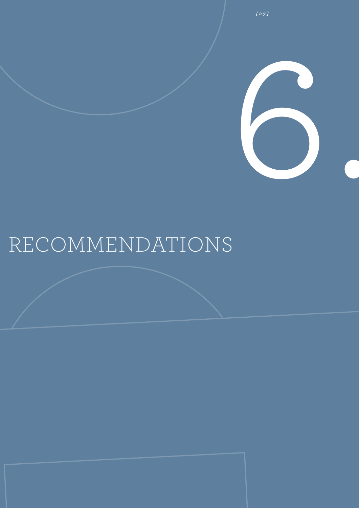

*[ 2 7 ]*

## Recommendations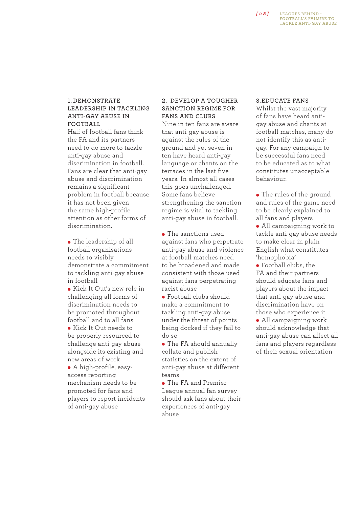## *[ 2 8 ]*

#### **Leagues Behind - Football's failure to tackle anti-gay abuse**

## **1. Demonstrate leadership in tackling anti-gay abuse in FOOTBALL**

Half of football fans think the FA and its partners need to do more to tackle anti-gay abuse and discrimination in football. Fans are clear that anti-gay abuse and discrimination remains a significant problem in football because it has not been given the same high-profile attention as other forms of discrimination.

• The leadership of all football organisations needs to visibly demonstrate a commitment to tackling anti-gay abuse in football

• Kick It Out's new role in challenging all forms of discrimination needs to be promoted throughout football and to all fans

**Kick It Out needs to** be properly resourced to challenge anti-gay abuse alongside its existing and new areas of work

• A high-profile, easyaccess reporting mechanism needs to be promoted for fans and players to report incidents of anti-gay abuse

## **2. Develop a tougher sanction regime for fans and clubs**

Nine in ten fans are aware that anti-gay abuse is against the rules of the ground and yet seven in ten have heard anti-gay language or chants on the terraces in the last five years. In almost all cases this goes unchallenged. Some fans believe strengthening the sanction regime is vital to tackling anti-gay abuse in football.

• The sanctions used against fans who perpetrate anti-gay abuse and violence at football matches need to be broadened and made consistent with those used against fans perpetrating racist abuse

<sup>l</sup> Football clubs should make a commitment to tackling anti-gay abuse under the threat of points being docked if they fail to do so

• The FA should annually collate and publish statistics on the extent of anti-gay abuse at different tonme

• The FA and Premier League annual fan survey should ask fans about their experiences of anti-gay abuse

### **3.Educate fans**

Whilst the vast majority of fans have heard antigay abuse and chants at football matches, many do not identify this as antigay. For any campaign to be successful fans need to be educated as to what constitutes unacceptable behaviour.

• The rules of the ground and rules of the game need to be clearly explained to all fans and players

• All campaigning work to tackle anti-gay abuse needs to make clear in plain English what constitutes 'homophobia'

• Football clubs, the FA and their partners should educate fans and players about the impact that anti-gay abuse and discrimination have on those who experience it

• All campaigning work should acknowledge that anti-gay abuse can affect all fans and players regardless of their sexual orientation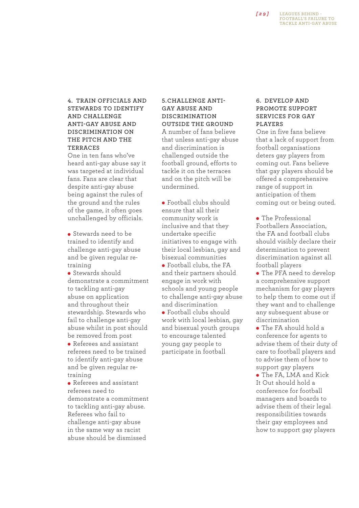## **4. Train officials and stewards to identify and challenge anti-gay abuse and discrimination on the pitch and the terraces**

One in ten fans who've heard anti-gay abuse say it was targeted at individual fans. Fans are clear that despite anti-gay abuse being against the rules of the ground and the rules of the game, it often goes unchallenged by officials.

**Stewards need to be** trained to identify and challenge anti-gay abuse and be given regular retraining

• Stewards should demonstrate a commitment to tackling anti-gay abuse on application and throughout their stewardship. Stewards who fail to challenge anti-gay abuse whilst in post should be removed from post • Referees and assistant referees need to be trained to identify anti-gay abuse and be given regular retraining

• Referees and assistant referees need to demonstrate a commitment to tackling anti-gay abuse. Referees who fail to challenge anti-gay abuse in the same way as racist abuse should be dismissed

## **5. Challenge antigay abuse and discrimination outside the ground**

A number of fans believe that unless anti-gay abuse and discrimination is challenged outside the football ground, efforts to tackle it on the terraces and on the pitch will be undermined.

<sup>l</sup> Football clubs should ensure that all their community work is inclusive and that they undertake specific initiatives to engage with their local lesbian, gay and bisexual communities

• Football clubs, the FA and their partners should engage in work with schools and young people to challenge anti-gay abuse and discrimination

• Football clubs should work with local lesbian, gay and bisexual youth groups to encourage talented young gay people to participate in football

## **6. Develop and promote support services for gay players**

One in five fans believe that a lack of support from football organisations deters gay players from coming out. Fans believe that gay players should be offered a comprehensive range of support in anticipation of them coming out or being outed.

• The Professional Footballers Association, the FA and football clubs should visibly declare their determination to prevent discrimination against all football players

• The PFA need to develop a comprehensive support mechanism for gay players to help them to come out if they want and to challenge any subsequent abuse or discrimination

• The FA should hold a conference for agents to advise them of their duty of care to football players and to advise them of how to support gay players

• The FA, LMA and Kick It Out should hold a conference for football managers and boards to advise them of their legal responsibilities towards their gay employees and how to support gay players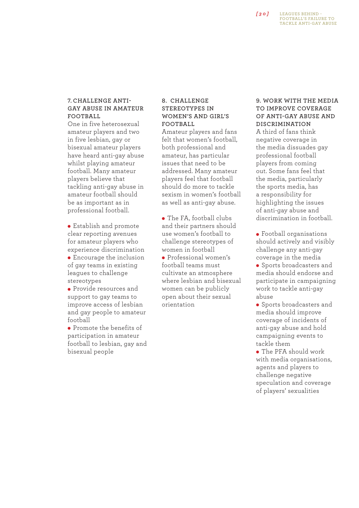## **7. Challenge antigay abuse in amateur football**

One in five heterosexual amateur players and two in five lesbian, gay or bisexual amateur players have heard anti-gay abuse whilst playing amateur football. Many amateur players believe that tackling anti-gay abuse in amateur football should be as important as in professional football.

**•** Establish and promote clear reporting avenues for amateur players who experience discrimination

• Encourage the inclusion of gay teams in existing leagues to challenge stereotypes

• Provide resources and support to gay teams to improve access of lesbian and gay people to amateur football

**•** Promote the benefits of participation in amateur football to lesbian, gay and bisexual people

## **8. Challenge stereotypes in women's and girl's FOOTBALL**

Amateur players and fans felt that women's football, both professional and amateur, has particular issues that need to be addressed. Many amateur players feel that football should do more to tackle sexism in women's football as well as anti-gay abuse.

• The FA, football clubs and their partners should use women's football to challenge stereotypes of women in football

**•** Professional women's football teams must cultivate an atmosphere where lesbian and bisexual women can be publicly open about their sexual orientation

## **9. Work with the media to improve coverage of anti-gay abuse and discrimination**

A third of fans think negative coverage in the media dissuades gay professional football players from coming out. Some fans feel that the media, particularly the sports media, has a responsibility for highlighting the issues of anti-gay abuse and discrimination in football.

**•** Football organisations should actively and visibly challenge any anti-gay coverage in the media

**•** Sports broadcasters and media should endorse and participate in campaigning work to tackle anti-gay abuse

• Sports broadcasters and media should improve coverage of incidents of anti-gay abuse and hold campaigning events to tackle them

• The PFA should work with media organisations, agents and players to challenge negative speculation and coverage of players' sexualities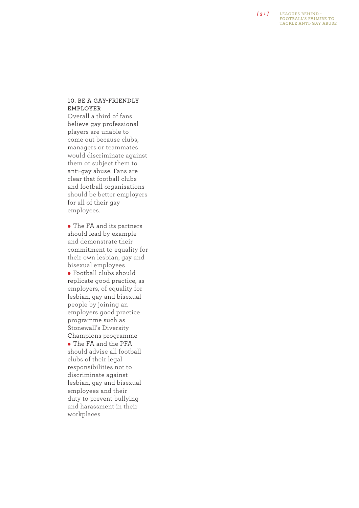**Leagues B e hind - Football ' s failu r e to tackle anti -gay abuse**

#### 10. BE A GAY-FRIENDL **f emp l oye r**

Overall a third of fans believe gay professional players are unable to come out because clubs, managers or teammates would discriminate against them or subject them to anti-gay abuse. Fans are clear that football clubs and football organisations should be better employers for all of their gay employees.

• The FA and its partners should lead by example and demonstrate their commitment to equality for their own lesbian, gay and bisexual employees <sup>l</sup> Football clubs should replicate good practice, as employers, of equality for lesbian, gay and bisexual people by joining an employers good practice programme such as Stonewall's Diversity Champions programme • The FA and the PFA should advise all football clubs of their legal responsibilities not to discriminate against lesbian, gay and bisexual employees and their duty to prevent bullying and harassment in their workplaces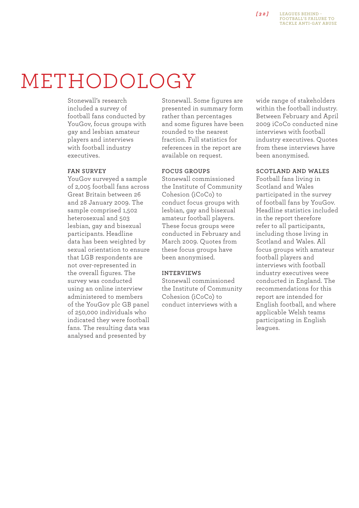## METHODOLOGY

Stonewall's research included a survey of football fans conducted by YouGov, focus groups with gay and lesbian amateur players and interviews with football industry executives.

## **Fan survey**

YouGov surveyed a sample of 2,005 football fans across Great Britain between 26 and 28 January 2009. The sample comprised 1,502 heterosexual and 503 lesbian, gay and bisexual participants. Headline data has been weighted by sexual orientation to ensure that LGB respondents are not over-represented in the overall figures. The survey was conducted using an online interview administered to members of the YouGov plc GB panel of 250,000 individuals who indicated they were football fans. The resulting data was analysed and presented by

Stonewall. Some figures are presented in summary form rather than percentages and some figures have been rounded to the nearest fraction. Full statistics for references in the report are available on request.

## **Focus groups**

Stonewall commissioned the Institute of Community Cohesion (iCoCo) to conduct focus groups with lesbian, gay and bisexual amateur football players. These focus groups were conducted in February and March 2009. Quotes from these focus groups have been anonymised.

## **Interviews**

Stonewall commissioned the Institute of Community Cohesion (iCoCo) to conduct interviews with a

wide range of stakeholders within the football industry. Between February and April 2009 iCoCo conducted nine interviews with football industry executives. Quotes from these interviews have been anonymised.

## **Scotland and Wales**

Football fans living in Scotland and Wales participated in the survey of football fans by YouGov. Headline statistics included in the report therefore refer to all participants, including those living in Scotland and Wales. All focus groups with amateur football players and interviews with football industry executives were conducted in England. The recommendations for this report are intended for English football, and where applicable Welsh teams participating in English leagues.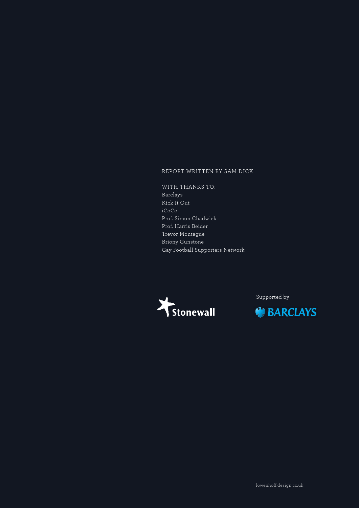## Report written by Sam Dick

WITH THANKS TO: Barclays Kick It Out iCoCo Prof. Simon Chadwick Prof. Harris Beider Trevor Montague Briony Gunstone Gay Football Supporters Network



Supported by